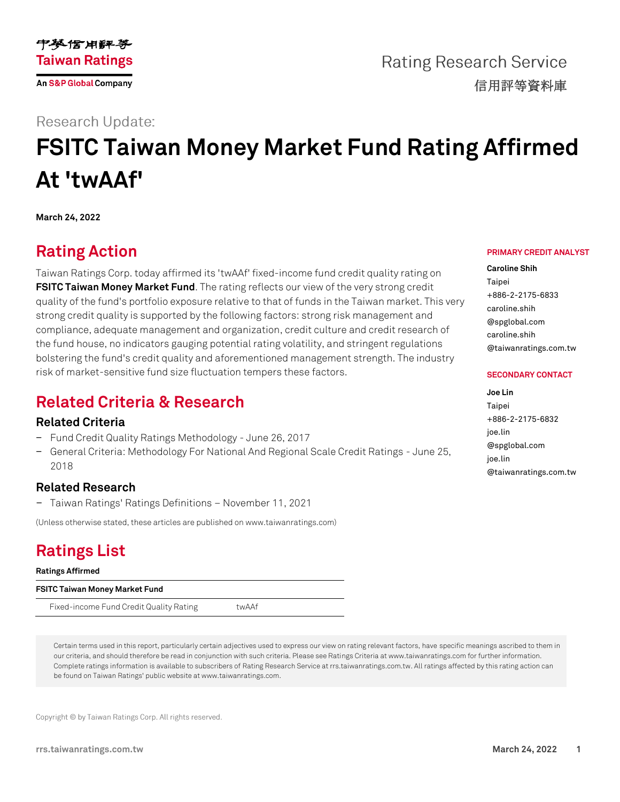

**Rating Research Service** 信用評等資料庫

### **Research Update:**

# **FSITC Taiwan Money Market Fund Rating Affirmed At 'twAAf'**

**March 24, 2022**

# **Rating Action**

Taiwan Ratings Corp. today affirmed its 'twAAf' fixed-income fund credit quality rating on **[FSITC Taiwan Money](https://rrs.taiwanratings.com.tw/portal/member/viewFund/536) Market Fund**. The rating reflects our view of the very strong credit quality of the fund's portfolio exposure relative to that of funds in the Taiwan market. This very strong credit quality is supported by the following factors: strong risk management and compliance, adequate management and organization, credit culture and credit research of the fund house, no indicators gauging potential rating volatility, and stringent regulations bolstering the fund's credit quality and aforementioned management strength. The industry risk of market-sensitive fund size fluctuation tempers these factors.

## **Related Criteria & Research**

### **Related Criteria**

- − Fund Credit Quality Ratings Methodology June 26, 2017
- − General Criteria: Methodology For National And Regional Scale Credit Ratings June 25, 2018

### **Related Research**

− Taiwan Ratings' Ratings Definitions – November 11, 2021

(Unless otherwise stated, these articles are published on www.taiwanratings.com)

# **Ratings List**

**Ratings Affirmed**

**FSITC Taiwan Money Market Fund**

Fixed-income Fund Credit Quality Rating twAAf

Certain terms used in this report, particularly certain adjectives used to express our view on rating relevant factors, have specific meanings ascribed to them in our criteria, and should therefore be read in conjunction with such criteria. Please see Ratings Criteria at www.taiwanratings.com for further information. Complete ratings information is available to subscribers of Rating Research Service at rrs.taiwanratings.com.tw. All ratings affected by this rating action can be found on Taiwan Ratings' public website at www.taiwanratings.com.

Copyright © by Taiwan Ratings Corp. All rights reserved.

#### **rrs.taiwanratings.com.tw March 24, 2022 1**

#### **PRIMARY CREDIT ANALYST**

**Caroline Shih** Taipei +886-2-2175-6833 caroline.shih @spglobal.com caroline.shih @taiwanratings.com.tw

#### **SECONDARY CONTACT**

**Joe Lin** Taipei +886-2-2175-6832 joe.lin @spglobal.com joe.lin @taiwanratings.com.tw